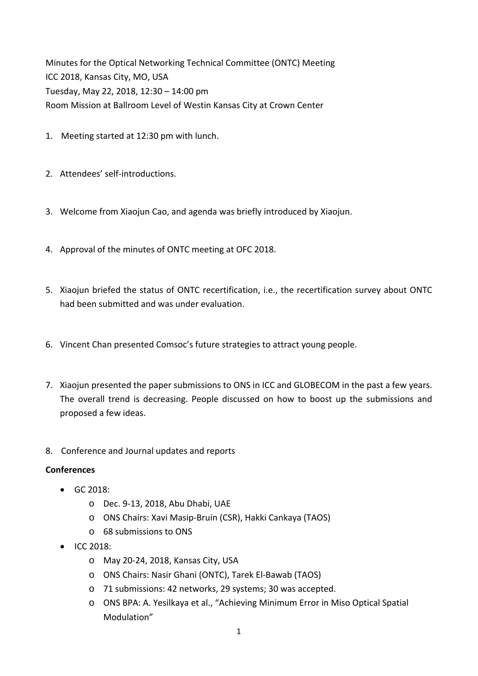Minutes for the Optical Networking Technical Committee (ONTC) Meeting ICC 2018, Kansas City, MO, USA Tuesday, May 22, 2018, 12:30 – 14:00 pm Room Mission at Ballroom Level of Westin Kansas City at Crown Center

- 1. Meeting started at 12:30 pm with lunch.
- 2. Attendees' self-introductions.
- 3. Welcome from Xiaojun Cao, and agenda was briefly introduced by Xiaojun.
- 4. Approval of the minutes of ONTC meeting at OFC 2018.
- 5. Xiaojun briefed the status of ONTC recertification, i.e., the recertification survey about ONTC had been submitted and was under evaluation.
- 6. Vincent Chan presented Comsoc's future strategies to attract young people.
- 7. Xiaojun presented the paper submissions to ONS in ICC and GLOBECOM in the past a few years. The overall trend is decreasing. People discussed on how to boost up the submissions and proposed a few ideas.
- 8. Conference and Journal updates and reports

## **Conferences**

- $\bullet$  GC 2018:
	- o Dec. 9‐13, 2018, Abu Dhabi, UAE
	- o ONS Chairs: Xavi Masip‐Bruin (CSR), Hakki Cankaya (TAOS)
	- o 68 submissions to ONS
- ICC 2018:
	- o May 20‐24, 2018, Kansas City, USA
	- o ONS Chairs: Nasir Ghani (ONTC), Tarek El‐Bawab (TAOS)
	- o 71 submissions: 42 networks, 29 systems; 30 was accepted.
	- o ONS BPA: A. Yesilkaya et al., "Achieving Minimum Error in Miso Optical Spatial Modulation"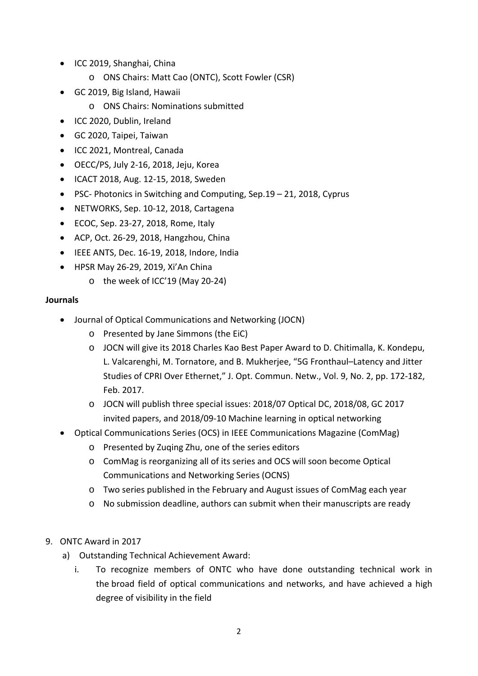- ICC 2019, Shanghai, China
	- o ONS Chairs: Matt Cao (ONTC), Scott Fowler (CSR)
- GC 2019, Big Island, Hawaii
	- o ONS Chairs: Nominations submitted
- ICC 2020, Dublin, Ireland
- GC 2020, Taipei, Taiwan
- ICC 2021, Montreal, Canada
- OECC/PS, July 2‐16, 2018, Jeju, Korea
- ICACT 2018, Aug. 12-15, 2018, Sweden
- PSC- Photonics in Switching and Computing, Sep.19 21, 2018, Cyprus
- NETWORKS, Sep. 10‐12, 2018, Cartagena
- ECOC, Sep. 23-27, 2018, Rome, Italy
- ACP, Oct. 26-29, 2018, Hangzhou, China
- IEEE ANTS, Dec. 16‐19, 2018, Indore, India
- HPSR May 26-29, 2019, Xi'An China
	- o the week of ICC'19 (May 20‐24)

## **Journals**

- Journal of Optical Communications and Networking (JOCN)
	- o Presented by Jane Simmons (the EiC)
	- o JOCN will give its 2018 Charles Kao Best Paper Award to D. Chitimalla, K. Kondepu, L. Valcarenghi, M. Tornatore, and B. Mukherjee, "5G Fronthaul–Latency and Jitter Studies of CPRI Over Ethernet," J. Opt. Commun. Netw., Vol. 9, No. 2, pp. 172‐182, Feb. 2017.
	- o JOCN will publish three special issues: 2018/07 Optical DC, 2018/08, GC 2017 invited papers, and 2018/09‐10 Machine learning in optical networking
- Optical Communications Series (OCS) in IEEE Communications Magazine (ComMag)
	- o Presented by Zuqing Zhu, one of the series editors
	- o ComMag is reorganizing all of its series and OCS will soon become Optical Communications and Networking Series (OCNS)
	- o Two series published in the February and August issues of ComMag each year
	- o No submission deadline, authors can submit when their manuscripts are ready
- 9. ONTC Award in 2017
	- a) Outstanding Technical Achievement Award:
		- i. To recognize members of ONTC who have done outstanding technical work in the broad field of optical communications and networks, and have achieved a high degree of visibility in the field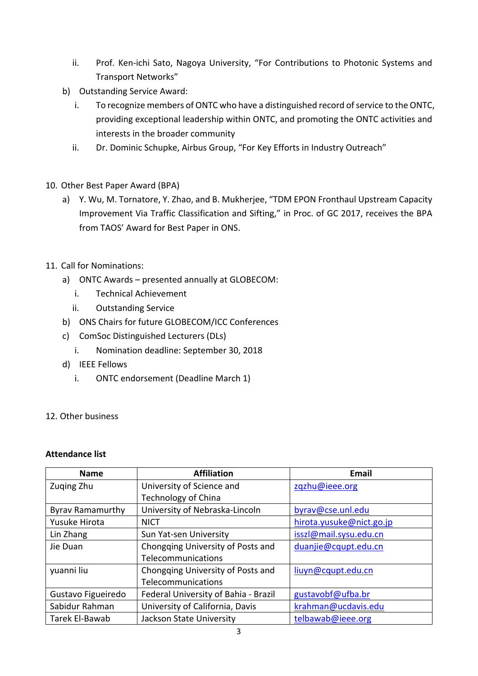- ii. Prof. Ken-ichi Sato, Nagoya University, "For Contributions to Photonic Systems and Transport Networks"
- b) Outstanding Service Award:
	- i. To recognize members of ONTC who have a distinguished record of service to the ONTC, providing exceptional leadership within ONTC, and promoting the ONTC activities and interests in the broader community
	- ii. Dr. Dominic Schupke, Airbus Group, "For Key Efforts in Industry Outreach"
- 10. Other Best Paper Award (BPA)
	- a) Y. Wu, M. Tornatore, Y. Zhao, and B. Mukherjee, "TDM EPON Fronthaul Upstream Capacity Improvement Via Traffic Classification and Sifting," in Proc. of GC 2017, receives the BPA from TAOS' Award for Best Paper in ONS.
- 11. Call for Nominations:
	- a) ONTC Awards presented annually at GLOBECOM:
		- i. Technical Achievement
		- ii. Outstanding Service
	- b) ONS Chairs for future GLOBECOM/ICC Conferences
	- c) ComSoc Distinguished Lecturers (DLs)
		- i. Nomination deadline: September 30, 2018
	- d) IEEE Fellows
		- i. ONTC endorsement (Deadline March 1)
- 12. Other business

## **Attendance list**

| <b>Name</b>             | <b>Affiliation</b>                   | <b>Email</b>             |
|-------------------------|--------------------------------------|--------------------------|
| Zuging Zhu              | University of Science and            | zqzhu@ieee.org           |
|                         | <b>Technology of China</b>           |                          |
| <b>Byrav Ramamurthy</b> | University of Nebraska-Lincoln       | byrav@cse.unl.edu        |
| Yusuke Hirota           | <b>NICT</b>                          | hirota.yusuke@nict.go.jp |
| Lin Zhang               | Sun Yat-sen University               | isszl@mail.sysu.edu.cn   |
| Jie Duan                | Chongqing University of Posts and    | duanjie@cqupt.edu.cn     |
|                         | Telecommunications                   |                          |
| yuanni liu              | Chongqing University of Posts and    | liuyn@cqupt.edu.cn       |
|                         | Telecommunications                   |                          |
| Gustavo Figueiredo      | Federal University of Bahia - Brazil | gustavobf@ufba.br        |
| Sabidur Rahman          | University of California, Davis      | krahman@ucdavis.edu      |
| Tarek El-Bawab          | Jackson State University             | telbawab@ieee.org        |